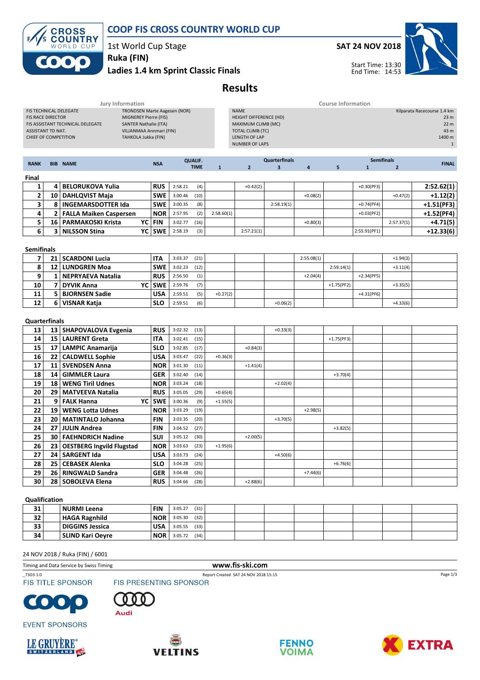

# COOP FIS CROSS COUNTRY WORLD CUP

1st World Cup Stage

## Ladies 1.4 km Sprint Classic Finals Ruka (FIN)

# SAT 24 NOV 2018



Start Time: 13:30 End Time: 14:53

# Results

| Jury Information                                                                                                                                |                          |                                |                         |                                     | <b>Course Information</b> |                |                      |                                                             |                         |                |                   |                                |            |                                                                   |
|-------------------------------------------------------------------------------------------------------------------------------------------------|--------------------------|--------------------------------|-------------------------|-------------------------------------|---------------------------|----------------|----------------------|-------------------------------------------------------------|-------------------------|----------------|-------------------|--------------------------------|------------|-------------------------------------------------------------------|
| FIS TECHNICAL DELEGATE<br><b>FIS RACE DIRECTOR</b><br>MIGNEREY Pierre (FIS)<br>FIS ASSISTANT TECHNICAL DELEGATE<br><b>SANTER Nathalie (ITA)</b> |                          |                                |                         | <b>TRONDSEN Marte Aagesen (NOR)</b> |                           |                |                      | <b>NAME</b><br>HEIGHT DIFFERENCE (HD)<br>MAXIMUM CLIMB (MC) |                         |                |                   |                                |            | Kilparata Racecourse 1.4 km<br>23 <sub>m</sub><br>22 <sub>m</sub> |
| ASSISTANT TD NAT.                                                                                                                               |                          |                                | VILJANMAA Annmari (FIN) |                                     |                           |                |                      | <b>TOTAL CLIMB (TC)</b>                                     |                         |                |                   |                                |            | 43 m                                                              |
| CHIEF OF COMPETITION<br>TAHKOLA Jukka (FIN)                                                                                                     |                          |                                |                         |                                     |                           |                | <b>LENGTH OF LAP</b> |                                                             |                         |                |                   |                                | 1400 m     |                                                                   |
|                                                                                                                                                 |                          |                                |                         |                                     |                           |                |                      | <b>NUMBER OF LAPS</b>                                       |                         |                |                   |                                |            | $\mathbf{1}$                                                      |
|                                                                                                                                                 |                          |                                |                         |                                     |                           | <b>QUALIF.</b> |                      |                                                             | <b>Quarterfinals</b>    |                | <b>Semifinals</b> |                                |            |                                                                   |
| <b>RANK</b>                                                                                                                                     |                          | <b>BIB NAME</b>                |                         | <b>NSA</b>                          |                           | <b>TIME</b>    | $\mathbf{1}$         | $\overline{2}$                                              | $\overline{\mathbf{3}}$ | $\overline{4}$ | 5                 | $\mathbf{1}$<br>$\overline{2}$ |            | <b>FINAL</b>                                                      |
| Final                                                                                                                                           |                          |                                |                         |                                     |                           |                |                      |                                                             |                         |                |                   |                                |            |                                                                   |
| 1                                                                                                                                               | $\overline{4}$           | <b>BELORUKOVA Yulia</b>        |                         | <b>RUS</b>                          | 2:58.21                   | (4)            |                      | $+0.42(2)$                                                  |                         |                |                   | $+0.30(PF3)$                   |            | 2:52.62(1)                                                        |
| $\mathbf{2}$                                                                                                                                    |                          | 10 DAHLQVIST Maja              |                         | <b>SWE</b>                          | 3:00.46                   | (10)           |                      |                                                             |                         | $+0.08(2)$     |                   |                                | $+0.47(2)$ | $+1.12(2)$                                                        |
| 3                                                                                                                                               | 8                        | <b>INGEMARSDOTTER Ida</b>      |                         | <b>SWE</b>                          | 3:00.35                   | (8)            |                      |                                                             | 2:58.19(1)              |                |                   | $+0.74(PF4)$                   |            | $+1.51(PF3)$                                                      |
| 4                                                                                                                                               | 2                        | <b>FALLA Maiken Caspersen</b>  |                         | <b>NOR</b>                          | 2:57.95                   | (2)            | 2:58.60(1)           |                                                             |                         |                |                   | $+0.03(PF2)$                   |            | $+1.52(PF4)$                                                      |
| 5                                                                                                                                               | 16                       | <b>PARMAKOSKI Krista</b>       | YC                      | <b>FIN</b>                          | 3:02.77                   | (16)           |                      |                                                             |                         | $+0.80(3)$     |                   |                                | 2:57.37(1) | $+4.71(5)$                                                        |
| 6                                                                                                                                               | 3                        | <b>NILSSON Stina</b>           | YC                      | <b>SWE</b>                          | 2:58.19                   | (3)            |                      | 2:57.21(1)                                                  |                         |                |                   | 2:55.91(PF1)                   |            | $+12.33(6)$                                                       |
|                                                                                                                                                 |                          |                                |                         |                                     |                           |                |                      |                                                             |                         |                |                   |                                |            |                                                                   |
| <b>Semifinals</b>                                                                                                                               |                          |                                |                         |                                     |                           |                |                      |                                                             |                         |                |                   |                                |            |                                                                   |
| 7                                                                                                                                               |                          | 21   SCARDONI Lucia            |                         | <b>ITA</b>                          | 3:03.37                   | (21)           |                      |                                                             |                         | 2:55.08(1)     |                   |                                | $+1.94(3)$ |                                                                   |
| 8                                                                                                                                               |                          | 12   LUNDGREN Moa              |                         | <b>SWE</b>                          | 3:02.23                   | (12)           |                      |                                                             |                         |                | 2:59.14(1)        |                                | $+3.11(4)$ |                                                                   |
| 9                                                                                                                                               | $\mathbf{1}$             | <b>NEPRYAEVA Natalia</b>       |                         | <b>RUS</b>                          | 2:56.50                   | (1)            |                      |                                                             |                         | $+2.04(4)$     |                   | $+2.34(PF5)$                   |            |                                                                   |
| 10                                                                                                                                              | $\overline{\phantom{a}}$ | <b>DYVIK Anna</b>              | YC                      | <b>SWE</b>                          | 2:59.76                   | (7)            |                      |                                                             |                         |                | $+1.75(PF2)$      |                                | $+3.35(5)$ |                                                                   |
| 11                                                                                                                                              | 5                        | <b>BJORNSEN Sadie</b>          |                         | <b>USA</b>                          | 2:59.51                   | (5)            | $+0.27(2)$           |                                                             |                         |                |                   | $+4.31(PF6)$                   |            |                                                                   |
| 12                                                                                                                                              |                          | 6 VISNAR Katja                 |                         | <b>SLO</b>                          | 2:59.51                   | (6)            |                      |                                                             | $+0.06(2)$              |                |                   |                                | $+4.33(6)$ |                                                                   |
| <b>Quarterfinals</b>                                                                                                                            |                          |                                |                         |                                     |                           |                |                      |                                                             |                         |                |                   |                                |            |                                                                   |
| 13                                                                                                                                              |                          | 13   SHAPOVALOVA Evgenia       |                         | <b>RUS</b>                          | 3:02.32                   | (13)           |                      |                                                             | $+0.33(3)$              |                |                   |                                |            |                                                                   |
| 14                                                                                                                                              |                          | 15   LAURENT Greta             |                         | <b>ITA</b>                          | 3:02.41                   | (15)           |                      |                                                             |                         |                | $+1.75(PF3)$      |                                |            |                                                                   |
| 15                                                                                                                                              |                          | 17 LAMPIC Anamarija            |                         | <b>SLO</b>                          | 3:02.85                   | (17)           |                      | $+0.84(3)$                                                  |                         |                |                   |                                |            |                                                                   |
| 16                                                                                                                                              | 22                       | <b>CALDWELL Sophie</b>         |                         | <b>USA</b>                          | 3:03.47                   | (22)           | $+0.36(3)$           |                                                             |                         |                |                   |                                |            |                                                                   |
| 17                                                                                                                                              |                          | 11   SVENDSEN Anna             |                         | <b>NOR</b>                          | 3:01.30                   | (11)           |                      | $+1.41(4)$                                                  |                         |                |                   |                                |            |                                                                   |
| 18                                                                                                                                              | 14                       | <b>GIMMLER Laura</b>           |                         | <b>GER</b>                          | 3:02.40                   | (14)           |                      |                                                             |                         |                | $+3.70(4)$        |                                |            |                                                                   |
| 19                                                                                                                                              | 18                       | <b>WENG Tiril Udnes</b>        |                         | <b>NOR</b>                          | 3:03.24                   | (18)           |                      |                                                             | $+2.02(4)$              |                |                   |                                |            |                                                                   |
| 20                                                                                                                                              | 29                       | <b>MATVEEVA Natalia</b>        |                         | <b>RUS</b>                          | 3:05.05                   | (29)           | $+0.65(4)$           |                                                             |                         |                |                   |                                |            |                                                                   |
| 21                                                                                                                                              |                          | 9   FALK Hanna                 | YC                      | <b>SWE</b>                          | 3:00.36                   | (9)            | $+1.55(5)$           |                                                             |                         |                |                   |                                |            |                                                                   |
| 22                                                                                                                                              | 19                       | <b>WENG Lotta Udnes</b>        |                         | <b>NOR</b>                          | 3:03.29                   | (19)           |                      |                                                             |                         | $+2.98(5)$     |                   |                                |            |                                                                   |
| 23                                                                                                                                              | 20 <sub>1</sub>          | MATINTALO Johanna              |                         | <b>FIN</b>                          | 3:03.35                   | (20)           |                      |                                                             | $+3.70(5)$              |                |                   |                                |            |                                                                   |
| 24                                                                                                                                              | 27                       | <b>JULIN Andrea</b>            |                         | <b>FIN</b>                          | 3:04.52                   | (27)           |                      |                                                             |                         |                | $+3.82(5)$        |                                |            |                                                                   |
| 25                                                                                                                                              | 30                       | <b>FAEHNDRICH Nadine</b>       |                         | <b>SUI</b>                          | 3:05.12                   | (30)           |                      | $+2.00(5)$                                                  |                         |                |                   |                                |            |                                                                   |
| 26                                                                                                                                              |                          | 23   OESTBERG Ingvild Flugstad |                         | <b>NOR</b>                          | 3:03.63                   | (23)           | $+1.95(6)$           |                                                             |                         |                |                   |                                |            |                                                                   |
| 27                                                                                                                                              | 24                       | <b>SARGENT Ida</b>             |                         | <b>USA</b>                          | 3:03.73                   | (24)           |                      |                                                             | $+4.50(6)$              |                |                   |                                |            |                                                                   |
| 28                                                                                                                                              | 25                       | <b>CEBASEK Alenka</b>          |                         | <b>SLO</b>                          | 3:04.28                   | (25)           |                      |                                                             |                         |                | $+6.76(6)$        |                                |            |                                                                   |
| 29                                                                                                                                              | 26                       | <b>RINGWALD Sandra</b>         |                         | GER                                 | 3:04.48                   | (26)           |                      |                                                             |                         | $+7.44(6)$     |                   |                                |            |                                                                   |
| 30                                                                                                                                              |                          | 28   SOBOLEVA Elena            |                         | <b>RUS</b>                          | 3:04.66                   | (28)           |                      | $+2.88(6)$                                                  |                         |                |                   |                                |            |                                                                   |
|                                                                                                                                                 |                          |                                |                         |                                     |                           |                |                      |                                                             |                         |                |                   |                                |            |                                                                   |
| Qualification                                                                                                                                   |                          |                                |                         |                                     |                           |                |                      |                                                             |                         |                |                   |                                |            |                                                                   |

### **31** NURMI Leena FIN 3:05.27 (31) **32 HAGA Ragnhild** NOR 3:05.30 (32) **33** DIGGINS Jessica USA 3:05.55 (33) **34 SLIND Kari Oeyre NOR** 3:05.72 (34)

#### 24 NOV 2018 / Ruka (FIN) / 6001

Timing and Data Service by Swiss Timing www.fis-ski.com

\_73D3 1.0 Report Created SAT 24 NOV 2018 15:15 **FIS TITLE SPONSOR** 















Page 1/3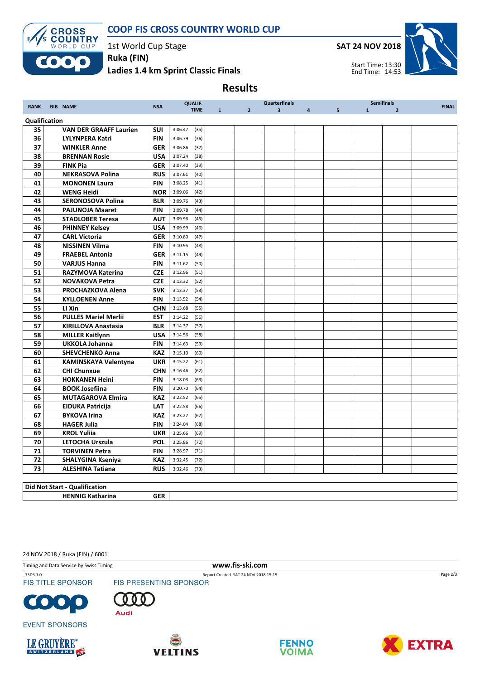



1st World Cup Stage

Ladies 1.4 km Sprint Classic Finals Ruka (FIN)



# Results

| <b>RANK</b>         | <b>BIB NAME</b>                         | <b>NSA</b>               | <b>QUALIF.</b><br><b>TIME</b>      | 1 | 2 <sup>1</sup> | <b>Quarterfinals</b><br>3 <sup>1</sup> | $\overline{a}$ | <b>Semifinals</b><br>5 <sup>5</sup><br>1<br>$\overline{2}$ |  | <b>FINAL</b> |  |
|---------------------|-----------------------------------------|--------------------------|------------------------------------|---|----------------|----------------------------------------|----------------|------------------------------------------------------------|--|--------------|--|
|                     |                                         |                          |                                    |   |                |                                        |                |                                                            |  |              |  |
| Qualification<br>35 | <b>VAN DER GRAAFF Laurien</b>           | <b>SUI</b>               |                                    |   |                |                                        |                |                                                            |  |              |  |
| 36                  | <b>LYLYNPERA Katri</b>                  | <b>FIN</b>               | 3:06.47<br>(35)<br>3:06.79<br>(36) |   |                |                                        |                |                                                            |  |              |  |
| 37                  | <b>WINKLER Anne</b>                     | <b>GER</b>               | 3:06.86                            |   |                |                                        |                |                                                            |  |              |  |
|                     |                                         |                          | (37)<br>3:07.24<br>(38)            |   |                |                                        |                |                                                            |  |              |  |
| 38<br>39            | <b>BRENNAN Rosie</b><br><b>FINK Pia</b> | <b>USA</b><br><b>GER</b> | 3:07.40                            |   |                |                                        |                |                                                            |  |              |  |
| 40                  | <b>NEKRASOVA Polina</b>                 | <b>RUS</b>               | (39)<br>3:07.61<br>(40)            |   |                |                                        |                |                                                            |  |              |  |
| 41                  | <b>MONONEN Laura</b>                    | <b>FIN</b>               | 3:08.25<br>(41)                    |   |                |                                        |                |                                                            |  |              |  |
| 42                  | <b>WENG Heidi</b>                       | <b>NOR</b>               | 3:09.06<br>(42)                    |   |                |                                        |                |                                                            |  |              |  |
| 43                  | <b>SERONOSOVA Polina</b>                | <b>BLR</b>               | 3:09.76<br>(43)                    |   |                |                                        |                |                                                            |  |              |  |
| 44                  | <b>PAJUNOJA Maaret</b>                  | <b>FIN</b>               | 3:09.78<br>(44)                    |   |                |                                        |                |                                                            |  |              |  |
| 45                  | <b>STADLOBER Teresa</b>                 | <b>AUT</b>               | 3:09.96<br>(45)                    |   |                |                                        |                |                                                            |  |              |  |
| 46                  | <b>PHINNEY Kelsey</b>                   | <b>USA</b>               | 3:09.99<br>(46)                    |   |                |                                        |                |                                                            |  |              |  |
| 47                  | <b>CARL Victoria</b>                    | <b>GER</b>               | 3:10.80<br>(47)                    |   |                |                                        |                |                                                            |  |              |  |
| 48                  | <b>NISSINEN Vilma</b>                   | <b>FIN</b>               | 3:10.95<br>(48)                    |   |                |                                        |                |                                                            |  |              |  |
| 49                  | <b>FRAEBEL Antonia</b>                  | <b>GER</b>               | 3:11.15<br>(49)                    |   |                |                                        |                |                                                            |  |              |  |
| 50                  | <b>VARJUS Hanna</b>                     | <b>FIN</b>               | 3:11.62<br>(50)                    |   |                |                                        |                |                                                            |  |              |  |
| 51                  | <b>RAZYMOVA Katerina</b>                | <b>CZE</b>               | 3:12.96<br>(51)                    |   |                |                                        |                |                                                            |  |              |  |
| 52                  | <b>NOVAKOVA Petra</b>                   | <b>CZE</b>               | 3:13.32<br>(52)                    |   |                |                                        |                |                                                            |  |              |  |
| 53                  | <b>PROCHAZKOVA Alena</b>                | <b>SVK</b>               | 3:13.37<br>(53)                    |   |                |                                        |                |                                                            |  |              |  |
| 54                  | <b>KYLLOENEN Anne</b>                   | <b>FIN</b>               | 3:13.52<br>(54)                    |   |                |                                        |                |                                                            |  |              |  |
| 55                  | LI Xin                                  | <b>CHN</b>               | 3:13.68<br>(55)                    |   |                |                                        |                |                                                            |  |              |  |
| 56                  | <b>PULLES Mariel Merlii</b>             | <b>EST</b>               | 3:14.22<br>(56)                    |   |                |                                        |                |                                                            |  |              |  |
| 57                  | <b>KIRILLOVA Anastasia</b>              | <b>BLR</b>               | 3:14.37<br>(57)                    |   |                |                                        |                |                                                            |  |              |  |
| 58                  | <b>MILLER Kaitlynn</b>                  | <b>USA</b>               | 3:14.56<br>(58)                    |   |                |                                        |                |                                                            |  |              |  |
| 59                  | <b>UKKOLA Johanna</b>                   | <b>FIN</b>               | 3:14.63<br>(59)                    |   |                |                                        |                |                                                            |  |              |  |
| 60                  | <b>SHEVCHENKO Anna</b>                  | <b>KAZ</b>               | 3:15.10<br>(60)                    |   |                |                                        |                |                                                            |  |              |  |
| 61                  | <b>KAMINSKAYA Valentyna</b>             | <b>UKR</b>               | 3:15.22<br>(61)                    |   |                |                                        |                |                                                            |  |              |  |
| 62                  | <b>CHI Chunxue</b>                      | <b>CHN</b>               | 3:16.46<br>(62)                    |   |                |                                        |                |                                                            |  |              |  |
| 63                  | <b>HOKKANEN Heini</b>                   | <b>FIN</b>               | 3:18.03<br>(63)                    |   |                |                                        |                |                                                            |  |              |  |
| 64                  | <b>BOOK Josefiina</b>                   | <b>FIN</b>               | 3:20.70<br>(64)                    |   |                |                                        |                |                                                            |  |              |  |
| 65                  | <b>MUTAGAROVA Elmira</b>                | <b>KAZ</b>               | 3:22.52<br>(65)                    |   |                |                                        |                |                                                            |  |              |  |
| 66                  | <b>EIDUKA Patricija</b>                 | LAT                      | 3:22.58<br>(66)                    |   |                |                                        |                |                                                            |  |              |  |
| 67                  | <b>BYKOVA Irina</b>                     | <b>KAZ</b>               | 3:23.27<br>(67)                    |   |                |                                        |                |                                                            |  |              |  |
| 68                  | <b>HAGER Julia</b>                      | <b>FIN</b>               | (68)<br>3:24.04                    |   |                |                                        |                |                                                            |  |              |  |
| 69                  | <b>KROL Yuliia</b>                      | <b>UKR</b>               | 3:25.66<br>(69)                    |   |                |                                        |                |                                                            |  |              |  |
| 70                  | <b>LETOCHA Urszula</b>                  | <b>POL</b>               | 3:25.86<br>(70)                    |   |                |                                        |                |                                                            |  |              |  |
| 71                  | <b>TORVINEN Petra</b>                   | <b>FIN</b>               | 3:28.97<br>(71)                    |   |                |                                        |                |                                                            |  |              |  |
| 72                  | <b>SHALYGINA Kseniya</b>                | <b>KAZ</b>               | 3:32.45<br>(72)                    |   |                |                                        |                |                                                            |  |              |  |
| 73                  | <b>ALESHINA Tatiana</b>                 | <b>RUS</b>               | 3:32.46<br>(73)                    |   |                |                                        |                |                                                            |  |              |  |
|                     |                                         |                          |                                    |   |                |                                        |                |                                                            |  |              |  |
|                     | <b>Did Not Start - Qualification</b>    |                          |                                    |   |                |                                        |                |                                                            |  |              |  |

HENNIG Katharina **GER** 

24 NOV 2018 / Ruka (FIN) / 6001

Timing and Data Service by Swiss Timing **www.fis-ski.com** 

\_73D3 1.0 Report Created SAT 24 NOV 2018 15:15 **FIS TITLE SPONSOR** 















Page 2/3